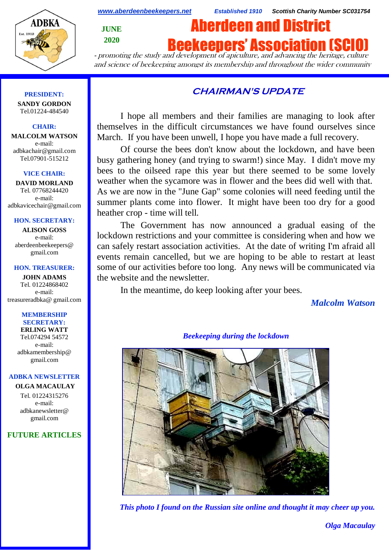

*[www.aberdeenbeekeepers.net](http://www.aberdeenbeekeepers.net/) Established 1910 Scottish Charity Number SC031754*

**JUNE 2020**

**Beekeepers' Association (SC** 

Aberdeen and District

- promoting the study and development of apiculture, and advancing the heritage, culture and science of beekeeping amongst its membership and throughout the wider community

# **CHAIRMAN'S UPDATE**

I hope all members and their families are managing to look after themselves in the difficult circumstances we have found ourselves since March. If you have been unwell, I hope you have made a full recovery.

Of course the bees don't know about the lockdown, and have been busy gathering honey (and trying to swarm!) since May. I didn't move my bees to the oilseed rape this year but there seemed to be some lovely weather when the sycamore was in flower and the bees did well with that. As we are now in the "June Gap" some colonies will need feeding until the summer plants come into flower. It might have been too dry for a good heather crop - time will tell.

The Government has now announced a gradual easing of the lockdown restrictions and your committee is considering when and how we can safely restart association activities. At the date of writing I'm afraid all events remain cancelled, but we are hoping to be able to restart at least some of our activities before too long. Any news will be communicated via the website and the newsletter.

In the meantime, do keep looking after your bees.

*Malcolm Watson*

*Beekeeping during the lockdown*



*This photo I found on the Russian site online and thought it may cheer up you.* 

**PRESIDENT:**

**SANDY GORDON** Tel.01224-484540

### **CHAIR:**

**MALCOLM WATSON** e-mail: adbkachair@gmail.com Tel.07901-515212

#### **VICE CHAIR:**

**DAVID MORLAND** Tel. 07768244420 e-mail: adbkavicechair@gmail.com

#### **HON. SECRETARY:**

**ALISON GOSS**  e-mail: aberdeenbeekeepers@ gmail.com

#### **HON. TREASURER:**

**JOHN ADAMS** Tel. 01224868402 e-mail: [treasureradbka@ gmail.com](https://e.mail.ru/compose/?mailto=mailto%3atreasureradbka@gmail.com)

#### **MEMBERSHIP SECRETARY:**

**ERLING WATT** Tel.074294 54572 e-mail: [adbkamembership@](mailto:watterlingg@aol.com) [gmail.com](mailto:watterlingg@aol.com)

#### **ADBKA NEWSLETTER**

**OLGA MACAULAY** Tel. 01224315276 e-mail: adbkanewsletter@ gmail.com

### **FUTURE ARTICLES**

*Olga Macaulay*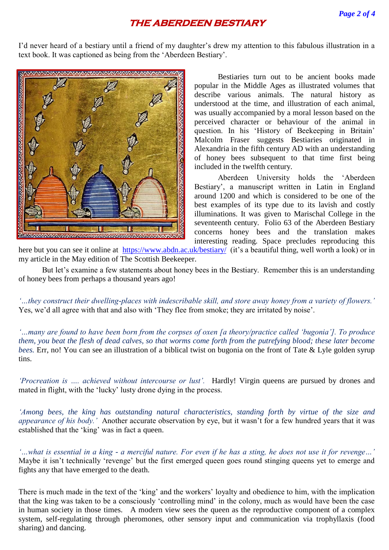# **THE ABERDEEN BESTIARY**

I'd never heard of a bestiary until a friend of my daughter's drew my attention to this fabulous illustration in a text book. It was captioned as being from the 'Aberdeen Bestiary'.



Bestiaries turn out to be ancient books made popular in the Middle Ages as illustrated volumes that describe various animals. The natural history as understood at the time, and illustration of each animal, was usually accompanied by a moral lesson based on the perceived character or behaviour of the animal in question. In his 'History of Beekeeping in Britain' Malcolm Fraser suggests Bestiaries originated in Alexandria in the fifth century AD with an understanding of honey bees subsequent to that time first being included in the twelfth century.

Aberdeen University holds the 'Aberdeen Bestiary', a manuscript written in Latin in England around 1200 and which is considered to be one of the best examples of its type due to its lavish and costly illuminations. It was given to Marischal College in the seventeenth century. Folio 63 of the Aberdeen Bestiary concerns honey bees and the translation makes interesting reading. Space precludes reproducing this

here but you can see it online at <https://www.abdn.ac.uk/bestiary/>(it's a beautiful thing, well worth a look) or in my article in the May edition of The Scottish Beekeeper.

But let's examine a few statements about honey bees in the Bestiary. Remember this is an understanding of honey bees from perhaps a thousand years ago!

*'…they construct their dwelling-places with indescribable skill, and store away honey from a variety of flowers.'*  Yes, we'd all agree with that and also with 'They flee from smoke; they are irritated by noise'.

*'…many are found to have been born from the corpses of oxen [a theory/practice called 'bugonia']. To produce them, you beat the flesh of dead calves, so that worms come forth from the putrefying blood; these later become bees.* Err, no! You can see an illustration of a biblical twist on bugonia on the front of Tate & Lyle golden syrup tins.

*'Procreation is …. achieved without intercourse or lust'.* Hardly! Virgin queens are pursued by drones and mated in flight, with the 'lucky' lusty drone dying in the process.

*'Among bees, the king has outstanding natural characteristics, standing forth by virtue of the size and appearance of his body.'* Another accurate observation by eye, but it wasn't for a few hundred years that it was established that the 'king' was in fact a queen.

*'…what is essential in a king - a merciful nature. For even if he has a sting, he does not use it for revenge…'*  Maybe it isn't technically 'revenge' but the first emerged queen goes round stinging queens yet to emerge and fights any that have emerged to the death.

There is much made in the text of the 'king' and the workers' loyalty and obedience to him, with the implication that the king was taken to be a consciously 'controlling mind' in the colony, much as would have been the case in human society in those times. A modern view sees the queen as the reproductive component of a complex system, self-regulating through pheromones, other sensory input and communication via trophyllaxis (food sharing) and dancing.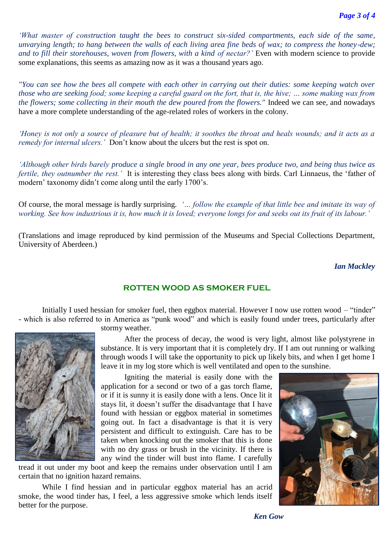*'What master of construction taught the bees to construct six-sided compartments, each side of the same, unvarying length; to hang between the walls of each living area fine beds of wax; to compress the honey-dew; and to fill their storehouses, woven from flowers, with a kind of nectar?'* Even with modern science to provide some explanations, this seems as amazing now as it was a thousand years ago.

*"You can see how the bees all compete with each other in carrying out their duties: some keeping watch over those who are seeking food; some keeping a careful guard on the fort, that is, the hive; … some making wax from the flowers; some collecting in their mouth the dew poured from the flowers."* Indeed we can see, and nowadays have a more complete understanding of the age-related roles of workers in the colony.

*'Honey is not only a source of pleasure but of health; it soothes the throat and heals wounds; and it acts as a remedy for internal ulcers.'* Don't know about the ulcers but the rest is spot on.

*'Although other birds barely produce a single brood in any one year, bees produce two, and being thus twice as fertile, they outnumber the rest.'* It is interesting they class bees along with birds. Carl Linnaeus, the 'father of modern' taxonomy didn't come along until the early 1700's.

Of course, the moral message is hardly surprising. *'… follow the example of that little bee and imitate its way of working. See how industrious it is, how much it is loved; everyone longs for and seeks out its fruit of its labour.'*

(Translations and image reproduced by kind permission of the Museums and Special Collections Department, University of Aberdeen.)

### *Ian Mackley*

### **ROTTEN WOOD AS SMOKER FUEL**

Initially I used hessian for smoker fuel, then eggbox material. However I now use rotten wood – "tinder" - which is also referred to in America as "punk wood" and which is easily found under trees, particularly after stormy weather.



After the process of decay, the wood is very light, almost like polystyrene in substance. It is very important that it is completely dry. If I am out running or walking through woods I will take the opportunity to pick up likely bits, and when I get home I leave it in my log store which is well ventilated and open to the sunshine.

Igniting the material is easily done with the application for a second or two of a gas torch flame, or if it is sunny it is easily done with a lens. Once lit it stays lit, it doesn't suffer the disadvantage that I have found with hessian or eggbox material in sometimes going out. In fact a disadvantage is that it is very persistent and difficult to extinguish. Care has to be taken when knocking out the smoker that this is done with no dry grass or brush in the vicinity. If there is any wind the tinder will bust into flame. I carefully

tread it out under my boot and keep the remains under observation until I am certain that no ignition hazard remains.

While I find hessian and in particular eggbox material has an acrid smoke, the wood tinder has, I feel, a less aggressive smoke which lends itself better for the purpose.